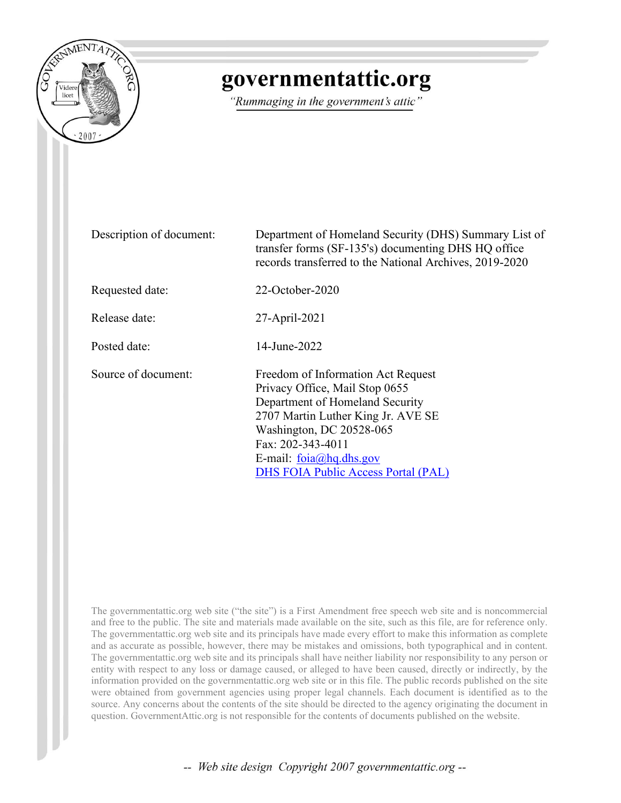

## governmentattic.org

"Rummaging in the government's attic"

| Description of document: | Department of Homeland Security (DHS) Summary List of<br>transfer forms (SF-135's) documenting DHS HQ office<br>records transferred to the National Archives, 2019-2020                                                                                                             |  |  |  |  |  |  |  |
|--------------------------|-------------------------------------------------------------------------------------------------------------------------------------------------------------------------------------------------------------------------------------------------------------------------------------|--|--|--|--|--|--|--|
| Requested date:          | $22$ -October-2020                                                                                                                                                                                                                                                                  |  |  |  |  |  |  |  |
| Release date:            | 27-April-2021                                                                                                                                                                                                                                                                       |  |  |  |  |  |  |  |
| Posted date:             | 14-June-2022                                                                                                                                                                                                                                                                        |  |  |  |  |  |  |  |
| Source of document:      | Freedom of Information Act Request<br>Privacy Office, Mail Stop 0655<br>Department of Homeland Security<br>2707 Martin Luther King Jr. AVE SE<br>Washington, DC 20528-065<br>Fax: 202-343-4011<br>E-mail: $f$ oia $\omega$ hq.dhs.gov<br><b>DHS FOIA Public Access Portal (PAL)</b> |  |  |  |  |  |  |  |

The governmentattic.org web site ("the site") is a First Amendment free speech web site and is noncommercial and free to the public. The site and materials made available on the site, such as this file, are for reference only. The governmentattic.org web site and its principals have made every effort to make this information as complete and as accurate as possible, however, there may be mistakes and omissions, both typographical and in content. The governmentattic.org web site and its principals shall have neither liability nor responsibility to any person or entity with respect to any loss or damage caused, or alleged to have been caused, directly or indirectly, by the information provided on the governmentattic.org web site or in this file. The public records published on the site were obtained from government agencies using proper legal channels. Each document is identified as to the source. Any concerns about the contents of the site should be directed to the agency originating the document in question. GovernmentAttic.org is not responsible for the contents of documents published on the website.

-- Web site design Copyright 2007 governmentattic.org --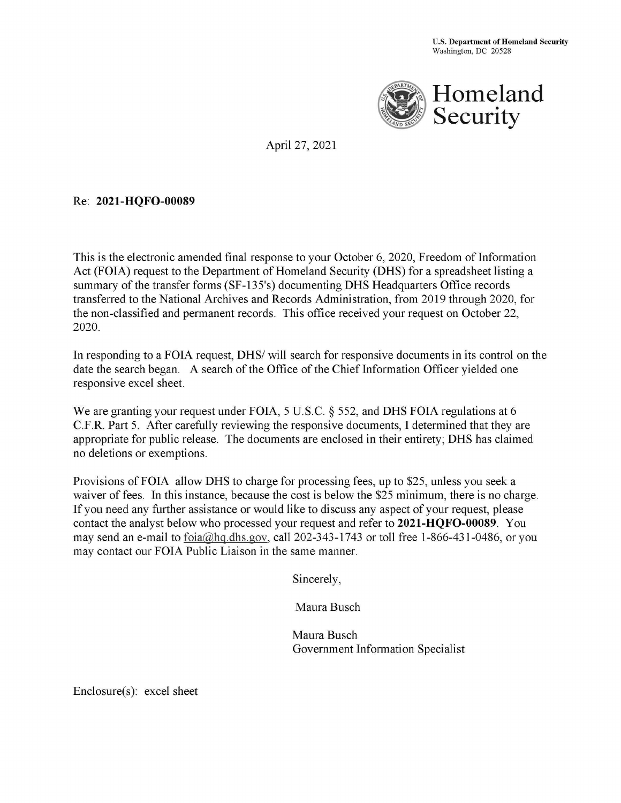

April 27, 2021

## Re: **2021-HQFO-00089**

This is the electronic amended final response to your October 6, 2020, Freedom of Information Act (FOIA) request to the Department of Homeland Security (DHS) for a spreadsheet listing a summary of the transfer forms (SF-135's) documenting DHS Headquarters Office records transferred to the National Archives and Records Administration, from 2019 through 2020, for the non-classified and permanent records. This office received your request on October 22, 2020.

In responding to a FOIA request, DHS/ will search for responsive documents in its control on the date the search began. A search of the Office of the Chief Information Officer yielded one responsive excel sheet.

We are granting your request under FOIA, 5 U.S.C. § 552, and DHS FOIA regulations at 6 C.F.R. Part 5. After carefully reviewing the responsive documents, I determined that they are appropriate for public release. The documents are enclosed in their entirety; **DHS** has claimed no deletions or exemptions.

Provisions ofFOIA allow **DHS** to charge for processing fees, up to \$25, unless you seek a waiver of fees. In this instance, because the cost is below the \$25 minimum, there is no charge. If you need any further assistance or would like to discuss any aspect of your request, please contact the analyst below who processed your request and refer to **2021-HQFO-00089.** You may send an e-mail to foia@hq.dhs.gov, call 202-343-1743 or toll free 1-866-431-0486, or you may contact our FOIA Public Liaison in the same manner.

Sincerely,

Maura Busch

Maura Busch Government Information Specialist

Enclosure(s): excel sheet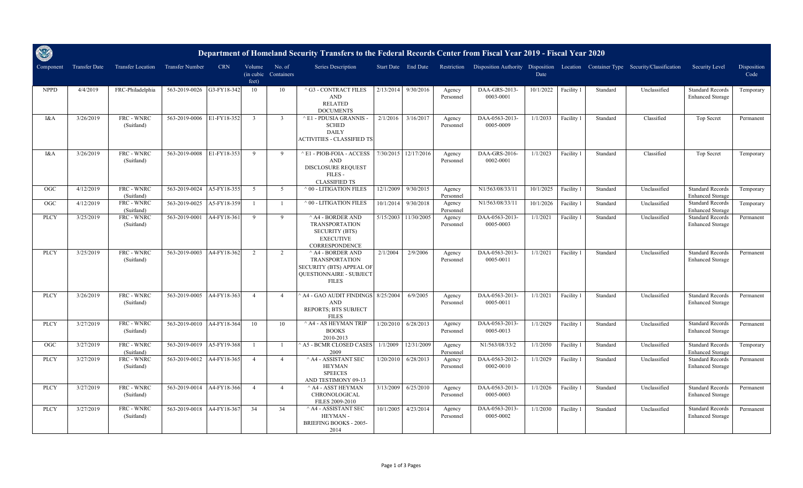| S           |                      |                          |                           |             |                               |                      | Department of Homeland Security Transfers to the Federal Records Center from Fiscal Year 2019 - Fiscal Year 2020            |           |                     |                     |                             |           |            |          |                                                                                               |                                                    |                     |
|-------------|----------------------|--------------------------|---------------------------|-------------|-------------------------------|----------------------|-----------------------------------------------------------------------------------------------------------------------------|-----------|---------------------|---------------------|-----------------------------|-----------|------------|----------|-----------------------------------------------------------------------------------------------|----------------------------------------------------|---------------------|
| Component   | <b>Transfer Date</b> | <b>Transfer Location</b> | Transfer Number           | <b>CRN</b>  | Volume<br>(in cubic)<br>feet) | No. of<br>Containers | Series Description                                                                                                          |           | Start Date End Date |                     |                             | Date      |            |          | Restriction Disposition Authority Disposition Location Container Type Security/Classification | Security Level                                     | Disposition<br>Code |
| <b>NPPD</b> | 4/4/2019             | FRC-Philadelphia         | 563-2019-0026             | G3-FY18-342 | 10                            | 10                   | ^ G3 - CONTRACT FILES<br>$\operatorname{AND}$<br><b>RELATED</b><br><b>DOCUMENTS</b>                                         | 2/13/2014 | 9/30/2016           | Agency<br>Personnel | DAA-GRS-2013-<br>0003-0001  | 10/1/2022 | Facility 1 | Standard | Unclassified                                                                                  | <b>Standard Records</b><br><b>Enhanced Storage</b> | Temporary           |
| I&A         | 3/26/2019            | FRC - WNRC<br>(Suitland) | 563-2019-0006             | E1-FY18-352 | $\overline{3}$                | $\overline{3}$       | ^ E1 - PDUSIA GRANNIS -<br><b>SCHED</b><br><b>DAILY</b><br>ACTIVITIES - CLASSIFIED TS                                       | 2/1/2016  | 3/16/2017           | Agency<br>Personnel | DAA-0563-2013-<br>0005-0009 | 1/1/2033  | Facility 1 | Standard | Classified                                                                                    | Top Secret                                         | Permanent           |
| I&A         | 3/26/2019            | FRC - WNRC<br>(Suitland) | 563-2019-0008             | E1-FY18-353 | $\overline{Q}$                | $\mathbf{Q}$         | E1 - PIOB-FOIA - ACCESS<br><b>AND</b><br>DISCLOSURE REQUEST<br>FILES-<br><b>CLASSIFIED TS</b>                               | 7/30/2015 | 12/17/2016          | Agency<br>Personnel | DAA-GRS-2016-<br>0002-0001  | 1/1/2023  | Facility 1 | Standard | Classified                                                                                    | Top Secret                                         | Temporary           |
| OGC         | 4/12/2019            | FRC - WNRC<br>(Suitland) | 563-2019-0024             | A5-FY18-355 | $\sqrt{5}$                    | 5                    | $^{\wedge}$ 00 - LITIGATION FILES                                                                                           | 12/1/2009 | 9/30/2015           | Agency<br>Personnel | N1/563/08/33/11             | 10/1/2025 | Facility 1 | Standard | Unclassified                                                                                  | <b>Standard Records</b><br><b>Enhanced Storage</b> | Temporary           |
| <b>OGC</b>  | 4/12/2019            | FRC - WNRC<br>(Suitland) | 563-2019-0025             | A5-FY18-359 | $\overline{1}$                | $\overline{1}$       | $^{\wedge}$ 00 - LITIGATION FILES                                                                                           | 10/1/2014 | 9/30/2018           | Agency<br>Personnel | N1/563/08/33/11             | 10/1/2026 | Facility 1 | Standard | Unclassified                                                                                  | <b>Standard Records</b><br><b>Enhanced Storage</b> | Temporary           |
| <b>PLCY</b> | 3/25/2019            | FRC - WNRC<br>(Suitland) | 563-2019-0001             | A4-FY18-361 | - 9                           | 9                    | $^{\wedge}$ A4 - BORDER AND<br><b>TRANSPORTATION</b><br><b>SECURITY (BTS)</b><br><b>EXECUTIVE</b><br>CORRESPONDENCE         | 5/15/2003 | 11/30/2005          | Agency<br>Personnel | DAA-0563-2013-<br>0005-0003 | 1/1/2021  | Facility 1 | Standard | Unclassified                                                                                  | <b>Standard Records</b><br><b>Enhanced Storage</b> | Permanent           |
| <b>PLCY</b> | 3/25/2019            | FRC - WNRC<br>(Suitland) | 563-2019-0003             | A4-FY18-362 | 2                             | 2                    | $^{\wedge}$ A4 - BORDER AND<br><b>TRANSPORTATION</b><br>SECURITY (BTS) APPEAL OF<br>QUESTIONNAIRE - SUBJECT<br><b>FILES</b> | 2/1/2004  | 2/9/2006            | Agency<br>Personnel | DAA-0563-2013-<br>0005-0011 | 1/1/2021  | Facility 1 | Standard | Unclassified                                                                                  | <b>Standard Records</b><br><b>Enhanced Storage</b> | Permanent           |
| <b>PLCY</b> | 3/26/2019            | FRC - WNRC<br>(Suitland) | 563-2019-0005             | A4-FY18-363 | $\overline{4}$                | $\overline{a}$       | <b>A4 - GAO AUDIT FINDINGS</b><br><b>AND</b><br>REPORTS; BTS SUBJECT<br><b>FILES</b>                                        | 8/25/2004 | 6/9/2005            | Agency<br>Personnel | DAA-0563-2013-<br>0005-0011 | 1/1/2021  | Facility 1 | Standard | Unclassified                                                                                  | <b>Standard Records</b><br><b>Enhanced Storage</b> | Permanent           |
| <b>PLCY</b> | 3/27/2019            | FRC - WNRC<br>(Suitland) | 563-2019-0010             | A4-FY18-364 | 10                            | 10                   | $^{\wedge}$ A4 - AS HEYMAN TRIP<br><b>BOOKS</b><br>2010-2013                                                                | 1/20/2010 | 6/28/2013           | Agency<br>Personnel | DAA-0563-2013-<br>0005-0013 | 1/1/2029  | Facility 1 | Standard | Unclassified                                                                                  | <b>Standard Records</b><br><b>Enhanced Storage</b> | Permanent           |
| OGC         | 3/27/2019            | FRC - WNRC<br>(Suitland) | 563-2019-0019             | A5-FY19-368 | $\overline{1}$                | $\overline{1}$       | A5 - BCMR CLOSED CASES<br>2009                                                                                              | 1/1/2009  | 12/31/2009          | Agency<br>Personnel | N1/563/08/33/2              | 1/1/2050  | Facility 1 | Standard | Unclassified                                                                                  | <b>Standard Records</b><br><b>Enhanced Storage</b> | Temporary           |
| <b>PLCY</b> | 3/27/2019            | FRC - WNRC<br>(Suitland) | 563-2019-0012             | A4-FY18-365 | $\overline{4}$                | $\overline{4}$       | $^\wedge$ A4 - ASSISTANT SEC<br><b>HEYMAN</b><br><b>SPEECES</b><br>AND TESTIMONY 09-13                                      | 1/20/2010 | 6/28/2013           | Agency<br>Personnel | DAA-0563-2012-<br>0002-0010 | 1/1/2029  | Facility 1 | Standard | Unclassified                                                                                  | <b>Standard Records</b><br><b>Enhanced Storage</b> | Permanent           |
| <b>PLCY</b> | 3/27/2019            | FRC - WNRC<br>(Suitland) | 563-2019-0014 A4-FY18-366 |             | $\overline{4}$                | $\overline{4}$       | ^ A4 - ASST HEYMAN<br>CHRONOLOGICAL<br>FILES 2009-2010                                                                      | 3/13/2009 | 6/25/2010           | Agency<br>Personnel | DAA-0563-2013-<br>0005-0003 | 1/1/2026  | Facility 1 | Standard | Unclassified                                                                                  | <b>Standard Records</b><br><b>Enhanced Storage</b> | Permanent           |
| <b>PLCY</b> | 3/27/2019            | FRC - WNRC<br>(Suitland) | 563-2019-0018             | A4-FY18-367 | 34                            | 34                   | $^\wedge$ A4 - ASSISTANT SEC<br>HEYMAN-<br><b>BRIEFING BOOKS - 2005-</b><br>2014                                            | 10/1/2005 | 4/23/2014           | Agency<br>Personnel | DAA-0563-2013-<br>0005-0002 | 1/1/2030  | Facility 1 | Standard | Unclassified                                                                                  | <b>Standard Records</b><br><b>Enhanced Storage</b> | Permanent           |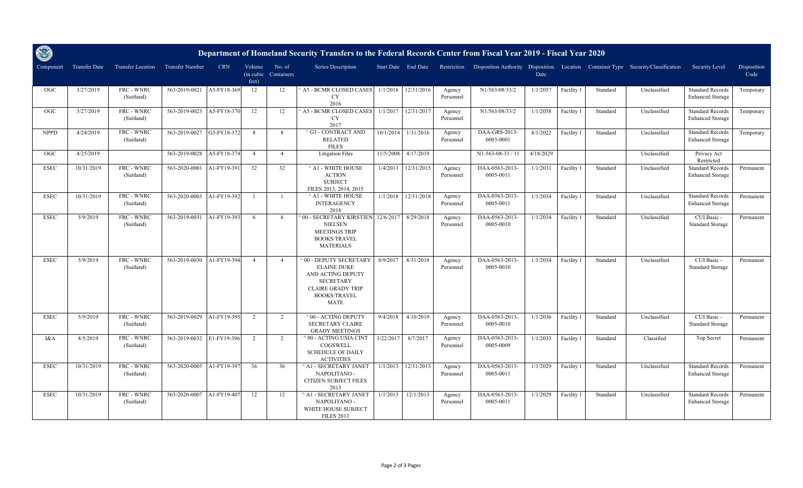| O           |                      |                          |                 |             |                               |                      | Department of Homeland Security Transfers to the Federal Records Center from Fiscal Year 2019 - Fiscal Year 2020                                              |           |                     |                     |                             |           |            |          |                                                                                               |                                                    |                     |
|-------------|----------------------|--------------------------|-----------------|-------------|-------------------------------|----------------------|---------------------------------------------------------------------------------------------------------------------------------------------------------------|-----------|---------------------|---------------------|-----------------------------|-----------|------------|----------|-----------------------------------------------------------------------------------------------|----------------------------------------------------|---------------------|
| Component   | <b>Transfer Date</b> | <b>Transfer Location</b> | Transfer Number | <b>CRN</b>  | Volume<br>(in cubic)<br>feet) | No. of<br>Containers | <b>Series Description</b>                                                                                                                                     |           | Start Date End Date |                     |                             | Date      |            |          | Restriction Disposition Authority Disposition Location Container Type Security/Classification | Security Level                                     | Disposition<br>Code |
| <b>OGC</b>  | 3/27/2019            | FRC - WNRC<br>(Suitland) | 563-2019-0021   | A5-FY18-369 | 12                            | 12                   | A5 - BCMR CLOSED CASES<br><b>CY</b><br>2016                                                                                                                   | 1/1/2016  | 12/31/2016          | Agency<br>Personnel | N1/563/08/33/2              | 1/1/2057  | Facility 1 | Standard | Unclassified                                                                                  | <b>Standard Records</b><br><b>Enhanced Storage</b> | Temporary           |
| OGC         | 3/27/2019            | FRC - WNRC<br>(Suitland) | 563-2019-0023   | A5-FY18-370 | 12                            | 12                   | A5 - BCMR CLOSED CASES<br><b>CY</b><br>2017                                                                                                                   | 1/1/2017  | 12/31/2017          | Agency<br>Personnel | N1/563/08/33/2              | 1/1/2058  | Facility 1 | Standard | Unclassified                                                                                  | <b>Standard Records</b><br><b>Enhanced Storage</b> | Temporary           |
| <b>NPPD</b> | 4/24/2019            | FRC - WNRC<br>(Suitland) | 563-2019-0027   | G3-FY18-372 | 8                             | 8                    | $^\wedge$ G3 - CONTRACT AND<br><b>RELATED</b><br><b>FILES</b>                                                                                                 | 10/1/2014 | 1/31/2016           | Agency<br>Personnel | DAA-GRS-2013-<br>0003-0001  | 4/1/2022  | Facility 1 | Standard | Unclassified                                                                                  | <b>Standard Records</b><br><b>Enhanced Storage</b> | Temporary           |
| OGC         | 4/25/2019            |                          | 563-2019-0028   | A5-FY18-374 | $\overline{4}$                | $\overline{4}$       | <b>Litigation Files</b>                                                                                                                                       | 11/5/2008 | 4/17/2019           |                     | N1-563-08-33 / 11           | 4/18/2029 |            |          | Unclassified                                                                                  | Privacy Act<br>Restricted                          |                     |
| <b>ESEC</b> | 10/31/2019           | FRC - WNRC<br>(Suitland) | 563-2020-0001   | A1-FY19-391 | 32                            | 32                   | $^\wedge$ A1 - WHITE HOUSE<br><b>ACTION</b><br><b>SUBJECT</b><br>FILES 2013, 2014, 2015                                                                       | 1/4/2013  | 12/31/2015          | Agency<br>Personnel | DAA-0563-2013-<br>0005-0011 | 1/1/2031  | Facility 1 | Standard | Unclassified                                                                                  | <b>Standard Records</b><br><b>Enhanced Storage</b> | Permanent           |
| <b>ESEC</b> | 10/31/2019           | FRC - WNRC<br>(Suitland) | 563-2020-0003   | A1-FY19-392 |                               | $\overline{1}$       | $^\wedge$ A1 - WHITE HOUSE<br><b>INTERAGENCY</b><br>2018                                                                                                      | 1/1/2018  | 12/31/2018          | Agency<br>Personnel | DAA-0563-2013-<br>0005-0011 | 1/1/2034  | Facility 1 | Standard | Unclassified                                                                                  | <b>Standard Records</b><br><b>Enhanced Storage</b> | Permanent           |
| <b>ESEC</b> | 5/9/2019             | FRC - WNRC<br>(Suitland) | 563-2019-0031   | A1-FY19-393 | 6                             | 6                    | 00 - SECRETARY KIRSTJEN<br><b>NIELSEN</b><br><b>MEETINGS TRIP</b><br><b>BOOKS/TRAVEL</b><br><b>MATERIALS</b>                                                  | 12/6/2017 | 8/29/2018           | Agency<br>Personnel | DAA-0563-2013-<br>0005-0010 | 1/1/2034  | Facility 1 | Standard | Unclassified                                                                                  | CUI Basic -<br><b>Standard Storage</b>             | Permanent           |
| <b>ESEC</b> | 5/9/2019             | FRC - WNRC<br>(Suitland) | 563-2019-0030   | A1-FY19-394 | $\overline{4}$                | $\overline{4}$       | <b>00 - DEPUTY SECRETARY</b><br><b>ELAINE DUKE</b><br>AND ACTING DEPUTY<br><b>SECRETARY</b><br><b>CLAIRE GRADY TRIP</b><br><b>BOOKS/TRAVEL</b><br><b>MATE</b> | 8/9/2017  | 8/31/2018           | Agency<br>Personnel | DAA-0563-2013-<br>0005-0010 | 1/1/2034  | Facility 1 | Standard | Unclassified                                                                                  | CUI Basic -<br><b>Standard Storage</b>             | Permanent           |
| <b>ESEC</b> | 5/9/2019             | FRC - WNRC<br>(Suitland) | 563-2019-0029   | A1-FY19-395 | 2                             | 2                    | $^{\wedge}$ 00 - ACTING DEPUTY<br><b>SECRETARY CLAIRE</b><br><b>GRADY MEETINGS</b>                                                                            | 9/4/2018  | 4/10/2019           | Agency<br>Personnel | DAA-0563-2013-<br>0005-0010 | 1/1/2036  | Facility 1 | Standard | Unclassified                                                                                  | CUI Basic -<br><b>Standard Storage</b>             | Permanent           |
| I&A         | 8/5/2019             | FRC - WNRC<br>(Suitland) | 563-2019-0032   | E1-FY19-396 | 2                             | 2                    | $^{\wedge}$ 00 - ACTING USIA CINT<br>COGSWELL<br><b>SCHEDULE OF DAILY</b><br><b>ACTIVITIES</b>                                                                | 3/22/2017 | 8/7/2017            | Agency<br>Personnel | DAA-0563-2013-<br>0005-0009 | 1/1/2033  | Facility 1 | Standard | Classified                                                                                    | Top Secret                                         | Permanent           |
| <b>ESEC</b> | 10/31/2019           | FRC - WNRC<br>(Suitland) | 563-2020-0005   | A1-FY19-397 | 36                            | 36                   | ^ A1 - SECRETARY JANET<br>NAPOLITANO -<br>CITIZEN SUBJECT FILES<br>2013                                                                                       | 1/1/2013  | 12/31/2013          | Agency<br>Personnel | DAA-0563-2013-<br>0005-0011 | 1/1/2029  | Facility 1 | Standard | Unclassified                                                                                  | <b>Standard Records</b><br><b>Enhanced Storage</b> | Permanent           |
| <b>ESEC</b> | 10/31/2019           | FRC - WNRC<br>(Suitland) | 563-2020-0007   | A1-FY19-407 | 12                            | 12                   | ^ A1 - SECRETARY JANET<br>NAPOLITANO -<br>WHITE HOUSE SUBJECT<br><b>FILES 2013</b>                                                                            | 1/1/2013  | 12/1/2013           | Agency<br>Personnel | DAA-0563-2013-<br>0005-0011 | 1/1/2029  | Facility 1 | Standard | Unclassified                                                                                  | <b>Standard Records</b><br><b>Enhanced Storage</b> | Permanent           |